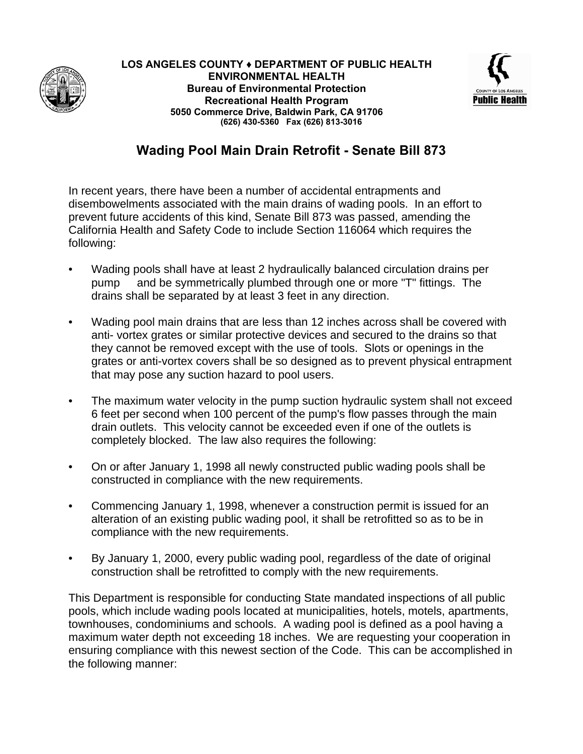



## **Wading Pool Main Drain Retrofit - Senate Bill 873**

In recent years, there have been a number of accidental entrapments and disembowelments associated with the main drains of wading pools. In an effort to prevent future accidents of this kind, Senate Bill 873 was passed, amending the California Health and Safety Code to include Section 116064 which requires the following:

- Wading pools shall have at least 2 hydraulically balanced circulation drains per pump and be symmetrically plumbed through one or more "T" fittings. The drains shall be separated by at least 3 feet in any direction.
- Wading pool main drains that are less than 12 inches across shall be covered with anti- vortex grates or similar protective devices and secured to the drains so that they cannot be removed except with the use of tools. Slots or openings in the grates or anti-vortex covers shall be so designed as to prevent physical entrapment that may pose any suction hazard to pool users.
- The maximum water velocity in the pump suction hydraulic system shall not exceed 6 feet per second when 100 percent of the pump's flow passes through the main drain outlets. This velocity cannot be exceeded even if one of the outlets is completely blocked. The law also requires the following:
- On or after January 1, 1998 all newly constructed public wading pools shall be constructed in compliance with the new requirements.
- Commencing January 1, 1998, whenever a construction permit is issued for an alteration of an existing public wading pool, it shall be retrofitted so as to be in compliance with the new requirements.
- By January 1, 2000, every public wading pool, regardless of the date of original construction shall be retrofitted to comply with the new requirements.

This Department is responsible for conducting State mandated inspections of all public pools, which include wading pools located at municipalities, hotels, motels, apartments, townhouses, condominiums and schools. A wading pool is defined as a pool having a maximum water depth not exceeding 18 inches. We are requesting your cooperation in ensuring compliance with this newest section of the Code. This can be accomplished in the following manner: